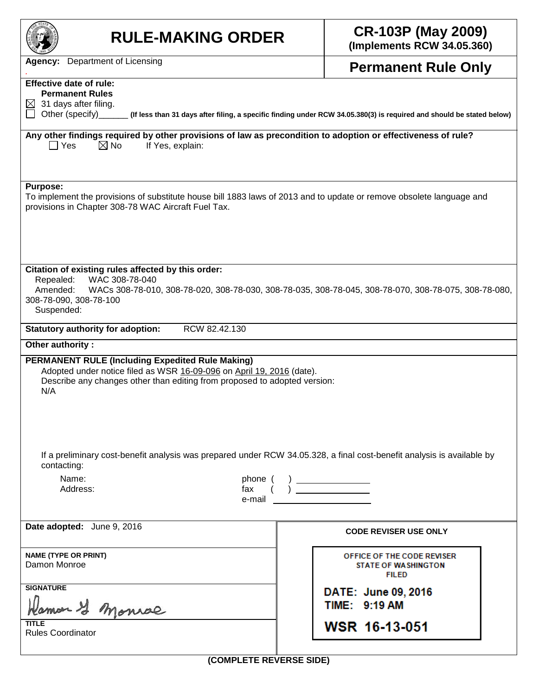| <b>RULE-MAKING ORDER</b>                                                                                                                                                                                                                       | <b>CR-103P (May 2009)</b><br>(Implements RCW 34.05.360)                             |  |  |  |  |  |  |  |
|------------------------------------------------------------------------------------------------------------------------------------------------------------------------------------------------------------------------------------------------|-------------------------------------------------------------------------------------|--|--|--|--|--|--|--|
| <b>Agency:</b> Department of Licensing                                                                                                                                                                                                         | <b>Permanent Rule Only</b>                                                          |  |  |  |  |  |  |  |
| <b>Effective date of rule:</b><br><b>Permanent Rules</b><br>$\boxtimes$ 31 days after filing.<br>Other (specify) _______ (If less than 31 days after filing, a specific finding under RCW 34.05.380(3) is required and should be stated below) |                                                                                     |  |  |  |  |  |  |  |
| Any other findings required by other provisions of law as precondition to adoption or effectiveness of rule?<br>$\boxtimes$ No<br>    Yes<br>If Yes, explain:                                                                                  |                                                                                     |  |  |  |  |  |  |  |
| <b>Purpose:</b><br>To implement the provisions of substitute house bill 1883 laws of 2013 and to update or remove obsolete language and<br>provisions in Chapter 308-78 WAC Aircraft Fuel Tax.                                                 |                                                                                     |  |  |  |  |  |  |  |
| Citation of existing rules affected by this order:<br>WAC 308-78-040<br>Repealed:<br>Amended:<br>WACs 308-78-010, 308-78-020, 308-78-030, 308-78-035, 308-78-045, 308-78-070, 308-78-075, 308-78-080,<br>308-78-090, 308-78-100<br>Suspended:  |                                                                                     |  |  |  |  |  |  |  |
| <b>Statutory authority for adoption:</b><br>RCW 82.42.130                                                                                                                                                                                      |                                                                                     |  |  |  |  |  |  |  |
| Other authority:<br><b>PERMANENT RULE (Including Expedited Rule Making)</b><br>Adopted under notice filed as WSR 16-09-096 on April 19, 2016 (date).<br>Describe any changes other than editing from proposed to adopted version:<br>N/A       |                                                                                     |  |  |  |  |  |  |  |
| If a preliminary cost-benefit analysis was prepared under RCW 34.05.328, a final cost-benefit analysis is available by<br>contacting:                                                                                                          |                                                                                     |  |  |  |  |  |  |  |
| Name:<br>phone (<br>Address:<br>fax<br>e-mail                                                                                                                                                                                                  | $\begin{array}{c} ( & ) \qquad \qquad \\ ( & ) \qquad \qquad \qquad \\ \end{array}$ |  |  |  |  |  |  |  |
| Date adopted: June 9, 2016                                                                                                                                                                                                                     | <b>CODE REVISER USE ONLY</b>                                                        |  |  |  |  |  |  |  |
| <b>NAME (TYPE OR PRINT)</b><br>Damon Monroe                                                                                                                                                                                                    | OFFICE OF THE CODE REVISER<br><b>STATE OF WASHINGTON</b><br><b>FILED</b>            |  |  |  |  |  |  |  |
| <b>SIGNATURE</b><br>amon & Monrae                                                                                                                                                                                                              | DATE: June 09, 2016<br>TIME: 9:19 AM                                                |  |  |  |  |  |  |  |
| TITLE<br><b>Rules Coordinator</b>                                                                                                                                                                                                              | <b>WSR 16-13-051</b>                                                                |  |  |  |  |  |  |  |
| (COMPLETE REVERSE SIDE)                                                                                                                                                                                                                        |                                                                                     |  |  |  |  |  |  |  |

**(COMPLETE REVERSE SIDE)**